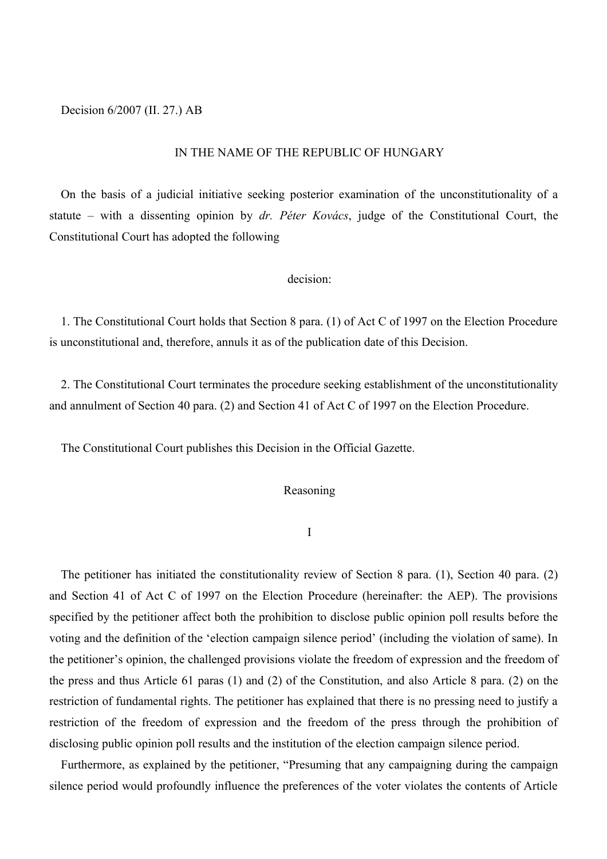Decision 6/2007 (II. 27.) AB

#### IN THE NAME OF THE REPUBLIC OF HUNGARY

On the basis of a judicial initiative seeking posterior examination of the unconstitutionality of a statute – with a dissenting opinion by *dr. Péter Kovács*, judge of the Constitutional Court, the Constitutional Court has adopted the following

## decision:

1. The Constitutional Court holds that Section 8 para. (1) of Act C of 1997 on the Election Procedure is unconstitutional and, therefore, annuls it as of the publication date of this Decision.

2. The Constitutional Court terminates the procedure seeking establishment of the unconstitutionality and annulment of Section 40 para. (2) and Section 41 of Act C of 1997 on the Election Procedure.

The Constitutional Court publishes this Decision in the Official Gazette.

### Reasoning

I

The petitioner has initiated the constitutionality review of Section 8 para. (1), Section 40 para. (2) and Section 41 of Act C of 1997 on the Election Procedure (hereinafter: the AEP). The provisions specified by the petitioner affect both the prohibition to disclose public opinion poll results before the voting and the definition of the 'election campaign silence period' (including the violation of same). In the petitioner's opinion, the challenged provisions violate the freedom of expression and the freedom of the press and thus Article 61 paras (1) and (2) of the Constitution, and also Article 8 para. (2) on the restriction of fundamental rights. The petitioner has explained that there is no pressing need to justify a restriction of the freedom of expression and the freedom of the press through the prohibition of disclosing public opinion poll results and the institution of the election campaign silence period.

Furthermore, as explained by the petitioner, "Presuming that any campaigning during the campaign silence period would profoundly influence the preferences of the voter violates the contents of Article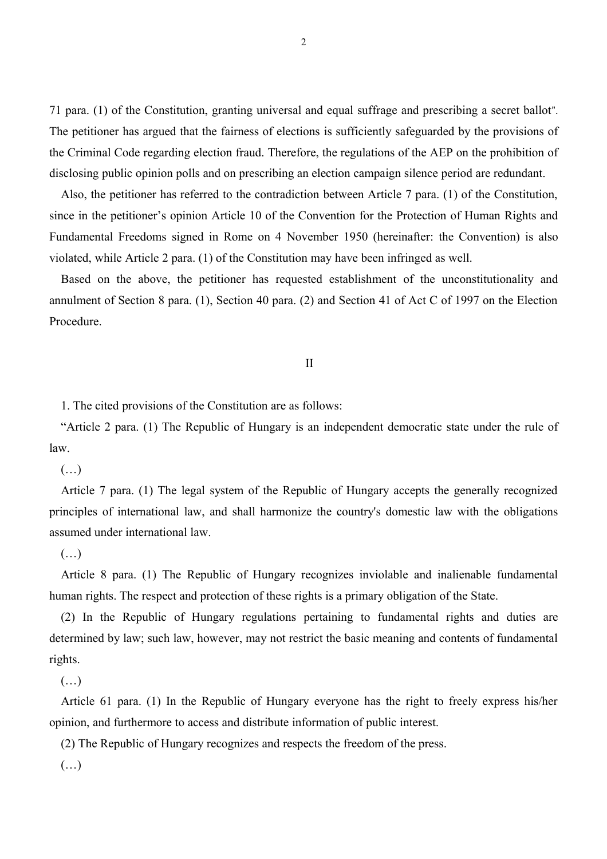71 para. (1) of the Constitution, granting universal and equal suffrage and prescribing a secret ballot". The petitioner has argued that the fairness of elections is sufficiently safeguarded by the provisions of the Criminal Code regarding election fraud. Therefore, the regulations of the AEP on the prohibition of disclosing public opinion polls and on prescribing an election campaign silence period are redundant.

Also, the petitioner has referred to the contradiction between Article 7 para. (1) of the Constitution, since in the petitioner's opinion Article 10 of the Convention for the Protection of Human Rights and Fundamental Freedoms signed in Rome on 4 November 1950 (hereinafter: the Convention) is also violated, while Article 2 para. (1) of the Constitution may have been infringed as well.

Based on the above, the petitioner has requested establishment of the unconstitutionality and annulment of Section 8 para. (1), Section 40 para. (2) and Section 41 of Act C of 1997 on the Election Procedure.

#### II

1. The cited provisions of the Constitution are as follows:

"Article 2 para. (1) The Republic of Hungary is an independent democratic state under the rule of law.

 $(\ldots)$ 

Article 7 para. (1) The legal system of the Republic of Hungary accepts the generally recognized principles of international law, and shall harmonize the country's domestic law with the obligations assumed under international law.

# $(\ldots)$

Article 8 para. (1) The Republic of Hungary recognizes inviolable and inalienable fundamental human rights. The respect and protection of these rights is a primary obligation of the State.

(2) In the Republic of Hungary regulations pertaining to fundamental rights and duties are determined by law; such law, however, may not restrict the basic meaning and contents of fundamental rights.

(…)

Article 61 para. (1) In the Republic of Hungary everyone has the right to freely express his/her opinion, and furthermore to access and distribute information of public interest.

(2) The Republic of Hungary recognizes and respects the freedom of the press.

 $(\ldots)$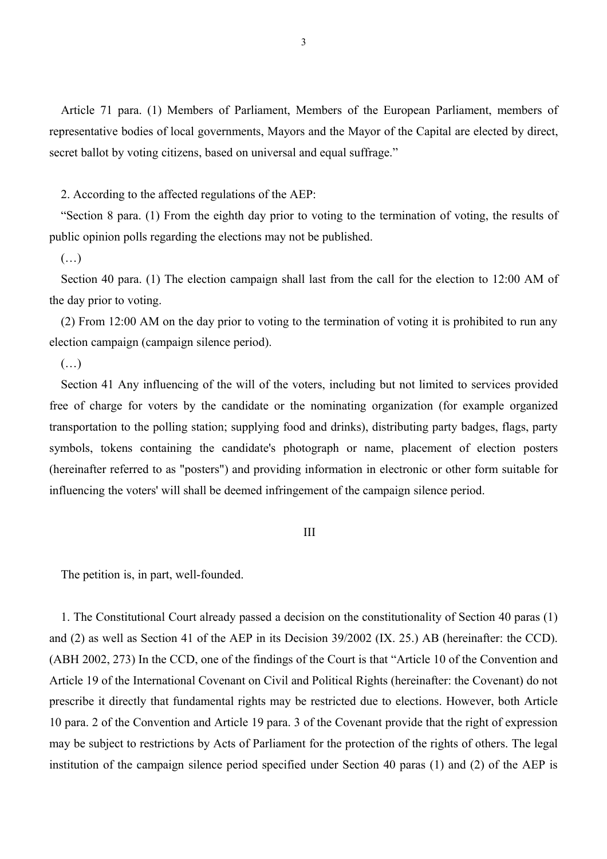Article 71 para. (1) Members of Parliament, Members of the European Parliament, members of representative bodies of local governments, Mayors and the Mayor of the Capital are elected by direct, secret ballot by voting citizens, based on universal and equal suffrage."

2. According to the affected regulations of the AEP:

"Section 8 para. (1) From the eighth day prior to voting to the termination of voting, the results of public opinion polls regarding the elections may not be published.

## $(\ldots)$

Section 40 para. (1) The election campaign shall last from the call for the election to 12:00 AM of the day prior to voting.

(2) From 12:00 AM on the day prior to voting to the termination of voting it is prohibited to run any election campaign (campaign silence period).

 $(\ldots)$ 

Section 41 Any influencing of the will of the voters, including but not limited to services provided free of charge for voters by the candidate or the nominating organization (for example organized transportation to the polling station; supplying food and drinks), distributing party badges, flags, party symbols, tokens containing the candidate's photograph or name, placement of election posters (hereinafter referred to as "posters") and providing information in electronic or other form suitable for influencing the voters' will shall be deemed infringement of the campaign silence period.

#### III

The petition is, in part, well-founded.

1. The Constitutional Court already passed a decision on the constitutionality of Section 40 paras (1) and (2) as well as Section 41 of the AEP in its Decision 39/2002 (IX. 25.) AB (hereinafter: the CCD). (ABH 2002, 273) In the CCD, one of the findings of the Court is that "Article 10 of the Convention and Article 19 of the International Covenant on Civil and Political Rights (hereinafter: the Covenant) do not prescribe it directly that fundamental rights may be restricted due to elections. However, both Article 10 para. 2 of the Convention and Article 19 para. 3 of the Covenant provide that the right of expression may be subject to restrictions by Acts of Parliament for the protection of the rights of others. The legal institution of the campaign silence period specified under Section 40 paras (1) and (2) of the AEP is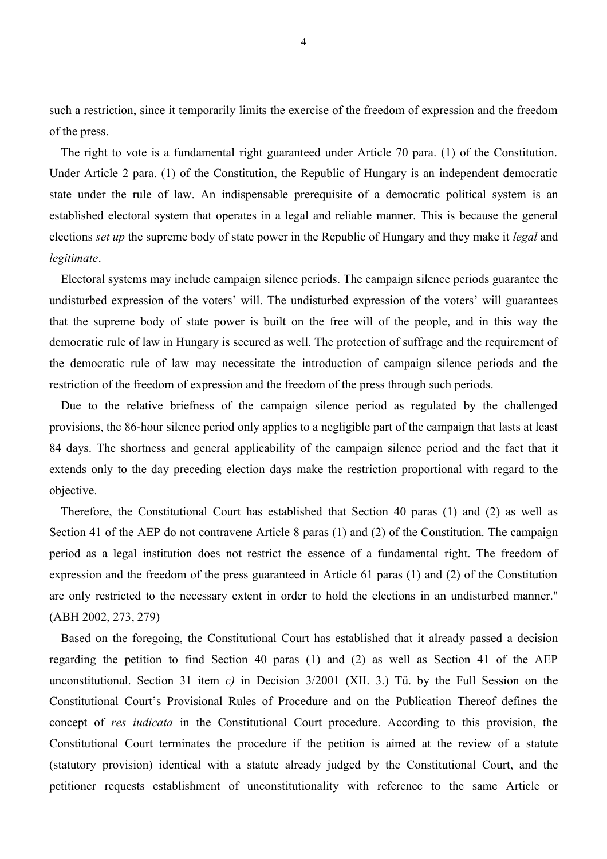such a restriction, since it temporarily limits the exercise of the freedom of expression and the freedom of the press.

The right to vote is a fundamental right guaranteed under Article 70 para. (1) of the Constitution. Under Article 2 para. (1) of the Constitution, the Republic of Hungary is an independent democratic state under the rule of law. An indispensable prerequisite of a democratic political system is an established electoral system that operates in a legal and reliable manner. This is because the general elections *set up* the supreme body of state power in the Republic of Hungary and they make it *legal* and *legitimate*.

Electoral systems may include campaign silence periods. The campaign silence periods guarantee the undisturbed expression of the voters' will. The undisturbed expression of the voters' will guarantees that the supreme body of state power is built on the free will of the people, and in this way the democratic rule of law in Hungary is secured as well. The protection of suffrage and the requirement of the democratic rule of law may necessitate the introduction of campaign silence periods and the restriction of the freedom of expression and the freedom of the press through such periods.

Due to the relative briefness of the campaign silence period as regulated by the challenged provisions, the 86-hour silence period only applies to a negligible part of the campaign that lasts at least 84 days. The shortness and general applicability of the campaign silence period and the fact that it extends only to the day preceding election days make the restriction proportional with regard to the objective.

Therefore, the Constitutional Court has established that Section 40 paras (1) and (2) as well as Section 41 of the AEP do not contravene Article 8 paras (1) and (2) of the Constitution. The campaign period as a legal institution does not restrict the essence of a fundamental right. The freedom of expression and the freedom of the press guaranteed in Article 61 paras (1) and (2) of the Constitution are only restricted to the necessary extent in order to hold the elections in an undisturbed manner." (ABH 2002, 273, 279)

Based on the foregoing, the Constitutional Court has established that it already passed a decision regarding the petition to find Section 40 paras (1) and (2) as well as Section 41 of the AEP unconstitutional. Section 31 item *c)* in Decision 3/2001 (XII. 3.) Tü. by the Full Session on the Constitutional Court's Provisional Rules of Procedure and on the Publication Thereof defines the concept of *res iudicata* in the Constitutional Court procedure. According to this provision, the Constitutional Court terminates the procedure if the petition is aimed at the review of a statute (statutory provision) identical with a statute already judged by the Constitutional Court, and the petitioner requests establishment of unconstitutionality with reference to the same Article or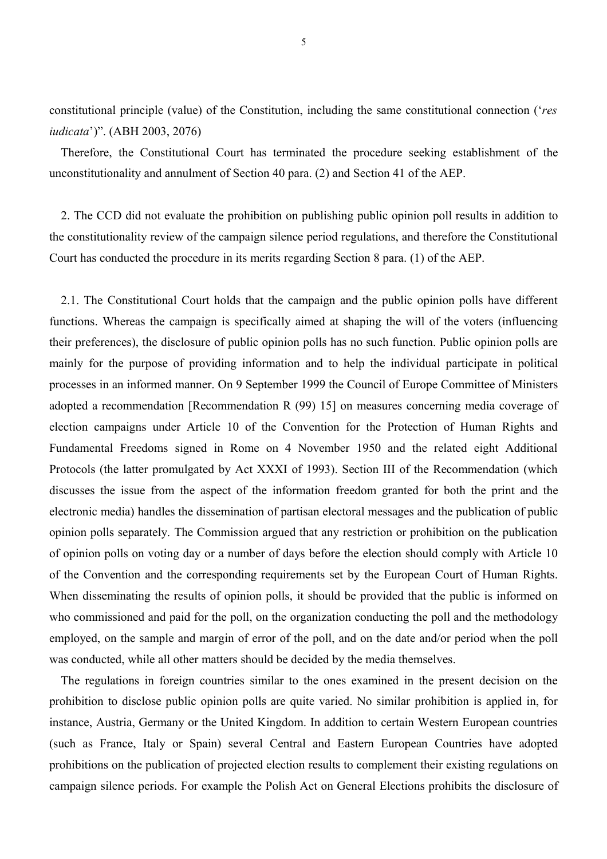constitutional principle (value) of the Constitution, including the same constitutional connection ('*res iudicata*')". (ABH 2003, 2076)

Therefore, the Constitutional Court has terminated the procedure seeking establishment of the unconstitutionality and annulment of Section 40 para. (2) and Section 41 of the AEP.

2. The CCD did not evaluate the prohibition on publishing public opinion poll results in addition to the constitutionality review of the campaign silence period regulations, and therefore the Constitutional Court has conducted the procedure in its merits regarding Section 8 para. (1) of the AEP.

2.1. The Constitutional Court holds that the campaign and the public opinion polls have different functions. Whereas the campaign is specifically aimed at shaping the will of the voters (influencing their preferences), the disclosure of public opinion polls has no such function. Public opinion polls are mainly for the purpose of providing information and to help the individual participate in political processes in an informed manner. On 9 September 1999 the Council of Europe Committee of Ministers adopted a recommendation [Recommendation R (99) 15] on measures concerning media coverage of election campaigns under Article 10 of the Convention for the Protection of Human Rights and Fundamental Freedoms signed in Rome on 4 November 1950 and the related eight Additional Protocols (the latter promulgated by Act XXXI of 1993). Section III of the Recommendation (which discusses the issue from the aspect of the information freedom granted for both the print and the electronic media) handles the dissemination of partisan electoral messages and the publication of public opinion polls separately. The Commission argued that any restriction or prohibition on the publication of opinion polls on voting day or a number of days before the election should comply with Article 10 of the Convention and the corresponding requirements set by the European Court of Human Rights. When disseminating the results of opinion polls, it should be provided that the public is informed on who commissioned and paid for the poll, on the organization conducting the poll and the methodology employed, on the sample and margin of error of the poll, and on the date and/or period when the poll was conducted, while all other matters should be decided by the media themselves.

The regulations in foreign countries similar to the ones examined in the present decision on the prohibition to disclose public opinion polls are quite varied. No similar prohibition is applied in, for instance, Austria, Germany or the United Kingdom. In addition to certain Western European countries (such as France, Italy or Spain) several Central and Eastern European Countries have adopted prohibitions on the publication of projected election results to complement their existing regulations on campaign silence periods. For example the Polish Act on General Elections prohibits the disclosure of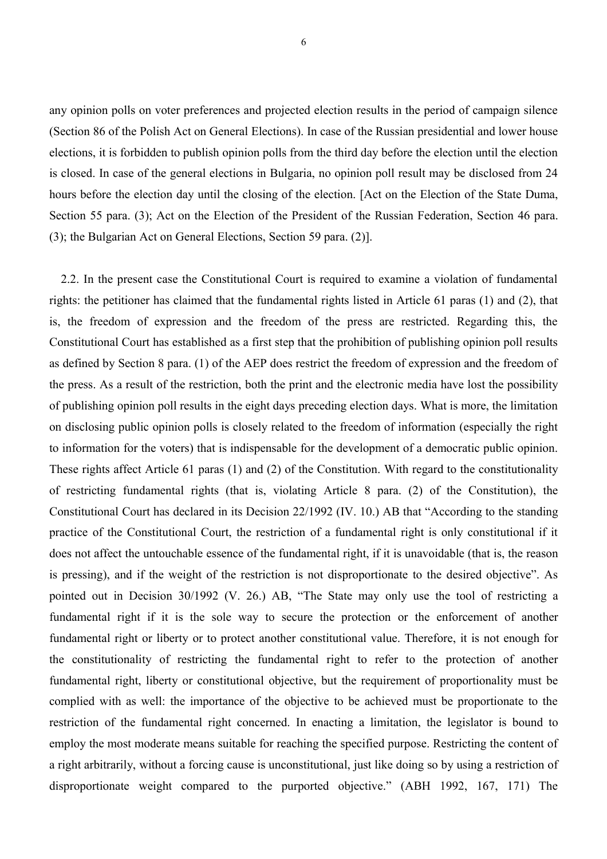any opinion polls on voter preferences and projected election results in the period of campaign silence (Section 86 of the Polish Act on General Elections). In case of the Russian presidential and lower house elections, it is forbidden to publish opinion polls from the third day before the election until the election is closed. In case of the general elections in Bulgaria, no opinion poll result may be disclosed from 24 hours before the election day until the closing of the election. [Act on the Election of the State Duma, Section 55 para. (3); Act on the Election of the President of the Russian Federation, Section 46 para. (3); the Bulgarian Act on General Elections, Section 59 para. (2)].

2.2. In the present case the Constitutional Court is required to examine a violation of fundamental rights: the petitioner has claimed that the fundamental rights listed in Article 61 paras (1) and (2), that is, the freedom of expression and the freedom of the press are restricted. Regarding this, the Constitutional Court has established as a first step that the prohibition of publishing opinion poll results as defined by Section 8 para. (1) of the AEP does restrict the freedom of expression and the freedom of the press. As a result of the restriction, both the print and the electronic media have lost the possibility of publishing opinion poll results in the eight days preceding election days. What is more, the limitation on disclosing public opinion polls is closely related to the freedom of information (especially the right to information for the voters) that is indispensable for the development of a democratic public opinion. These rights affect Article 61 paras (1) and (2) of the Constitution. With regard to the constitutionality of restricting fundamental rights (that is, violating Article 8 para. (2) of the Constitution), the Constitutional Court has declared in its Decision 22/1992 (IV. 10.) AB that "According to the standing practice of the Constitutional Court, the restriction of a fundamental right is only constitutional if it does not affect the untouchable essence of the fundamental right, if it is unavoidable (that is, the reason is pressing), and if the weight of the restriction is not disproportionate to the desired objective". As pointed out in Decision 30/1992 (V. 26.) AB, "The State may only use the tool of restricting a fundamental right if it is the sole way to secure the protection or the enforcement of another fundamental right or liberty or to protect another constitutional value. Therefore, it is not enough for the constitutionality of restricting the fundamental right to refer to the protection of another fundamental right, liberty or constitutional objective, but the requirement of proportionality must be complied with as well: the importance of the objective to be achieved must be proportionate to the restriction of the fundamental right concerned. In enacting a limitation, the legislator is bound to employ the most moderate means suitable for reaching the specified purpose. Restricting the content of a right arbitrarily, without a forcing cause is unconstitutional, just like doing so by using a restriction of disproportionate weight compared to the purported objective." (ABH 1992, 167, 171) The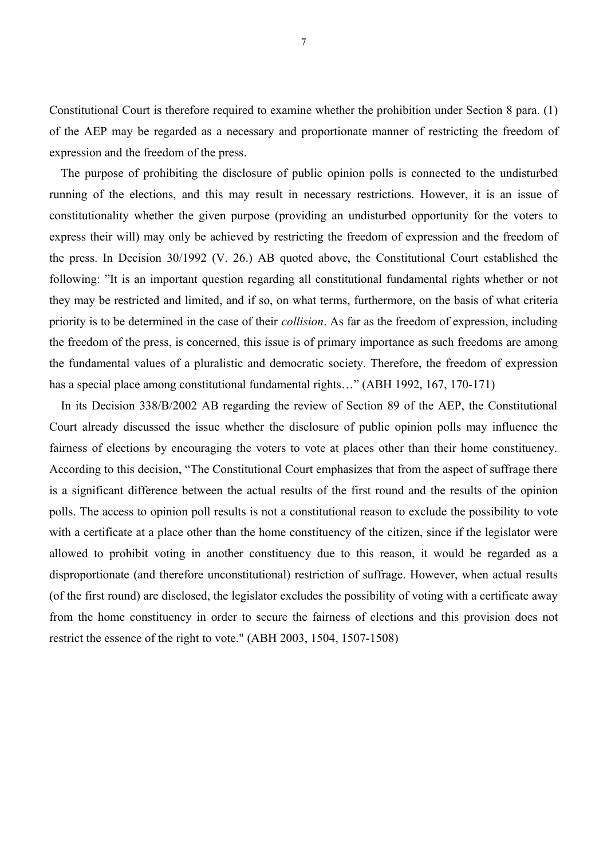Constitutional Court is therefore required to examine whether the prohibition under Section 8 para. (1) of the AEP may be regarded as a necessary and proportionate manner of restricting the freedom of expression and the freedom of the press.

The purpose of prohibiting the disclosure of public opinion polls is connected to the undisturbed running of the elections, and this may result in necessary restrictions. However, it is an issue of constitutionality whether the given purpose (providing an undisturbed opportunity for the voters to express their will) may only be achieved by restricting the freedom of expression and the freedom of the press. In Decision 30/1992 (V. 26.) AB quoted above, the Constitutional Court established the following: "It is an important question regarding all constitutional fundamental rights whether or not they may be restricted and limited, and if so, on what terms, furthermore, on the basis of what criteria priority is to be determined in the case of their *collision*. As far as the freedom of expression, including the freedom of the press, is concerned, this issue is of primary importance as such freedoms are among the fundamental values of a pluralistic and democratic society. Therefore, the freedom of expression has a special place among constitutional fundamental rights…" (ABH 1992, 167, 170-171)

In its Decision 338/B/2002 AB regarding the review of Section 89 of the AEP, the Constitutional Court already discussed the issue whether the disclosure of public opinion polls may influence the fairness of elections by encouraging the voters to vote at places other than their home constituency. According to this decision, "The Constitutional Court emphasizes that from the aspect of suffrage there is a significant difference between the actual results of the first round and the results of the opinion polls. The access to opinion poll results is not a constitutional reason to exclude the possibility to vote with a certificate at a place other than the home constituency of the citizen, since if the legislator were allowed to prohibit voting in another constituency due to this reason, it would be regarded as a disproportionate (and therefore unconstitutional) restriction of suffrage. However, when actual results (of the first round) are disclosed, the legislator excludes the possibility of voting with a certificate away from the home constituency in order to secure the fairness of elections and this provision does not restrict the essence of the right to vote." (ABH 2003, 1504, 1507-1508)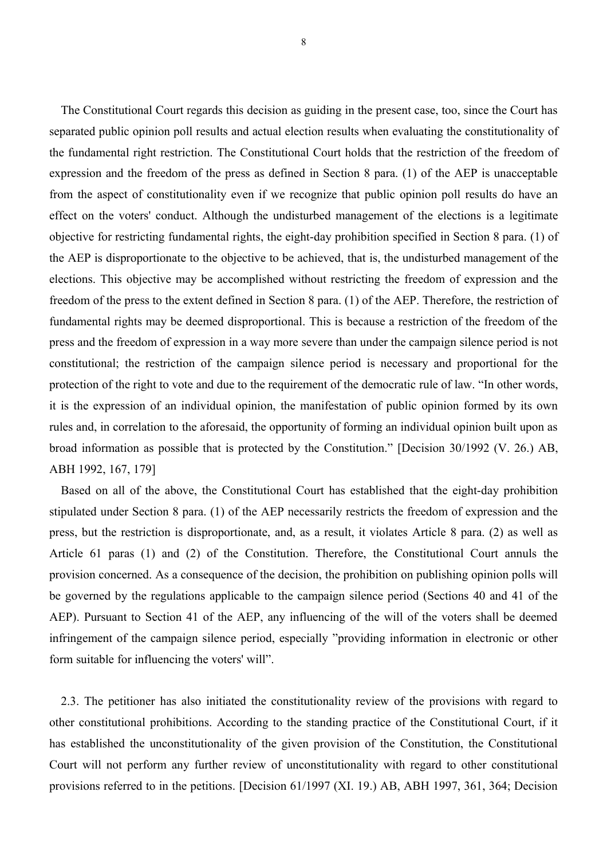The Constitutional Court regards this decision as guiding in the present case, too, since the Court has separated public opinion poll results and actual election results when evaluating the constitutionality of the fundamental right restriction. The Constitutional Court holds that the restriction of the freedom of expression and the freedom of the press as defined in Section 8 para. (1) of the AEP is unacceptable from the aspect of constitutionality even if we recognize that public opinion poll results do have an effect on the voters' conduct. Although the undisturbed management of the elections is a legitimate objective for restricting fundamental rights, the eight-day prohibition specified in Section 8 para. (1) of the AEP is disproportionate to the objective to be achieved, that is, the undisturbed management of the elections. This objective may be accomplished without restricting the freedom of expression and the freedom of the press to the extent defined in Section 8 para. (1) of the AEP. Therefore, the restriction of fundamental rights may be deemed disproportional. This is because a restriction of the freedom of the press and the freedom of expression in a way more severe than under the campaign silence period is not constitutional; the restriction of the campaign silence period is necessary and proportional for the protection of the right to vote and due to the requirement of the democratic rule of law. "In other words, it is the expression of an individual opinion, the manifestation of public opinion formed by its own rules and, in correlation to the aforesaid, the opportunity of forming an individual opinion built upon as broad information as possible that is protected by the Constitution." [Decision 30/1992 (V. 26.) AB, ABH 1992, 167, 179]

Based on all of the above, the Constitutional Court has established that the eight-day prohibition stipulated under Section 8 para. (1) of the AEP necessarily restricts the freedom of expression and the press, but the restriction is disproportionate, and, as a result, it violates Article 8 para. (2) as well as Article 61 paras (1) and (2) of the Constitution. Therefore, the Constitutional Court annuls the provision concerned. As a consequence of the decision, the prohibition on publishing opinion polls will be governed by the regulations applicable to the campaign silence period (Sections 40 and 41 of the AEP). Pursuant to Section 41 of the AEP, any influencing of the will of the voters shall be deemed infringement of the campaign silence period, especially "providing information in electronic or other form suitable for influencing the voters' will".

2.3. The petitioner has also initiated the constitutionality review of the provisions with regard to other constitutional prohibitions. According to the standing practice of the Constitutional Court, if it has established the unconstitutionality of the given provision of the Constitution, the Constitutional Court will not perform any further review of unconstitutionality with regard to other constitutional provisions referred to in the petitions. [Decision 61/1997 (XI. 19.) AB, ABH 1997, 361, 364; Decision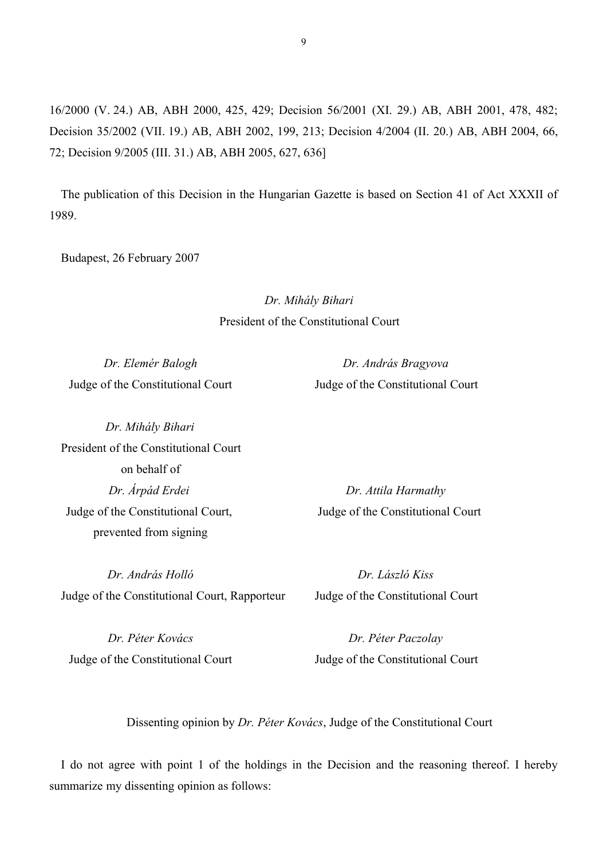16/2000 (V. 24.) AB, ABH 2000, 425, 429; Decision 56/2001 (XI. 29.) AB, ABH 2001, 478, 482; Decision 35/2002 (VII. 19.) AB, ABH 2002, 199, 213; Decision 4/2004 (II. 20.) AB, ABH 2004, 66, 72; Decision 9/2005 (III. 31.) AB, ABH 2005, 627, 636]

The publication of this Decision in the Hungarian Gazette is based on Section 41 of Act XXXII of 1989.

Budapest, 26 February 2007

*Dr. Mihály Bihari* President of the Constitutional Court

*Dr. Elemér Balogh Dr. András Bragyova* Judge of the Constitutional Court Judge of the Constitutional Court

*Dr. Mihály Bihari* President of the Constitutional Court on behalf of *Dr. Árpád Erdei Dr. Attila Harmathy* Judge of the Constitutional Court, Judge of the Constitutional Court prevented from signing

*Dr. András Holló Dr. László Kiss* Judge of the Constitutional Court, Rapporteur Judge of the Constitutional Court

*Dr. Péter Kovács Dr. Péter Paczolay*

Judge of the Constitutional Court Judge of the Constitutional Court

Dissenting opinion by *Dr. Péter Kovács*, Judge of the Constitutional Court

I do not agree with point 1 of the holdings in the Decision and the reasoning thereof. I hereby summarize my dissenting opinion as follows: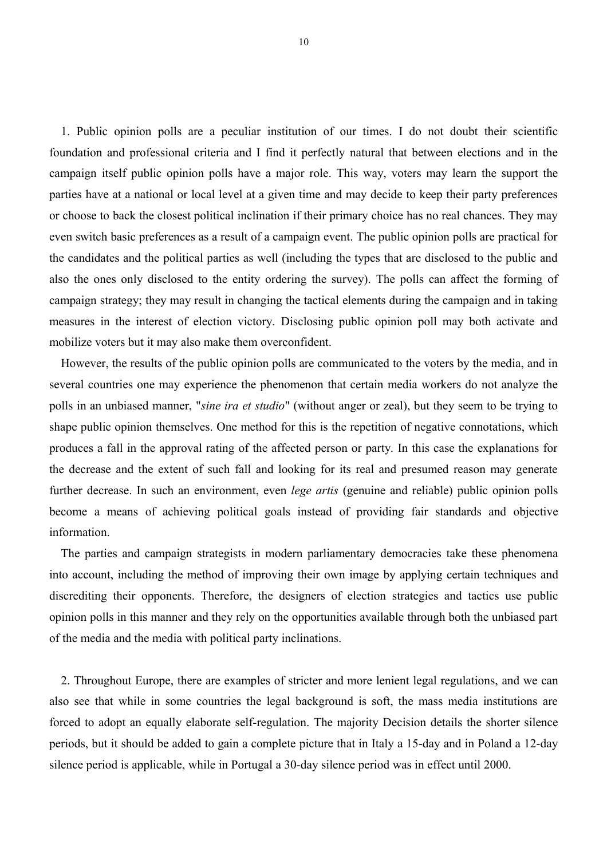1. Public opinion polls are a peculiar institution of our times. I do not doubt their scientific foundation and professional criteria and I find it perfectly natural that between elections and in the campaign itself public opinion polls have a major role. This way, voters may learn the support the parties have at a national or local level at a given time and may decide to keep their party preferences or choose to back the closest political inclination if their primary choice has no real chances. They may even switch basic preferences as a result of a campaign event. The public opinion polls are practical for the candidates and the political parties as well (including the types that are disclosed to the public and also the ones only disclosed to the entity ordering the survey). The polls can affect the forming of campaign strategy; they may result in changing the tactical elements during the campaign and in taking measures in the interest of election victory. Disclosing public opinion poll may both activate and mobilize voters but it may also make them overconfident.

However, the results of the public opinion polls are communicated to the voters by the media, and in several countries one may experience the phenomenon that certain media workers do not analyze the polls in an unbiased manner, "*sine ira et studio*" (without anger or zeal), but they seem to be trying to shape public opinion themselves. One method for this is the repetition of negative connotations, which produces a fall in the approval rating of the affected person or party. In this case the explanations for the decrease and the extent of such fall and looking for its real and presumed reason may generate further decrease. In such an environment, even *lege artis* (genuine and reliable) public opinion polls become a means of achieving political goals instead of providing fair standards and objective information.

The parties and campaign strategists in modern parliamentary democracies take these phenomena into account, including the method of improving their own image by applying certain techniques and discrediting their opponents. Therefore, the designers of election strategies and tactics use public opinion polls in this manner and they rely on the opportunities available through both the unbiased part of the media and the media with political party inclinations.

2. Throughout Europe, there are examples of stricter and more lenient legal regulations, and we can also see that while in some countries the legal background is soft, the mass media institutions are forced to adopt an equally elaborate self-regulation. The majority Decision details the shorter silence periods, but it should be added to gain a complete picture that in Italy a 15-day and in Poland a 12-day silence period is applicable, while in Portugal a 30-day silence period was in effect until 2000.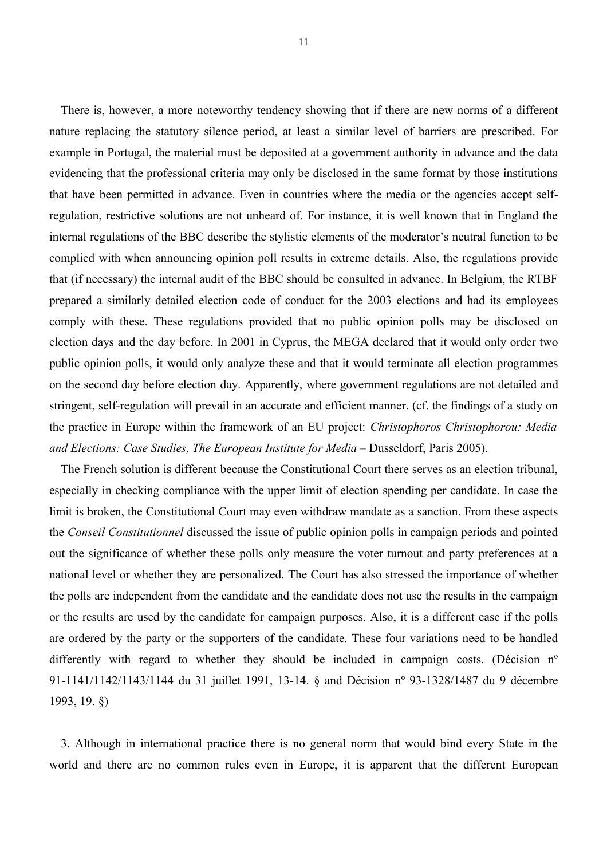There is, however, a more noteworthy tendency showing that if there are new norms of a different nature replacing the statutory silence period, at least a similar level of barriers are prescribed. For example in Portugal, the material must be deposited at a government authority in advance and the data evidencing that the professional criteria may only be disclosed in the same format by those institutions that have been permitted in advance. Even in countries where the media or the agencies accept selfregulation, restrictive solutions are not unheard of. For instance, it is well known that in England the internal regulations of the BBC describe the stylistic elements of the moderator's neutral function to be complied with when announcing opinion poll results in extreme details. Also, the regulations provide that (if necessary) the internal audit of the BBC should be consulted in advance. In Belgium, the RTBF prepared a similarly detailed election code of conduct for the 2003 elections and had its employees comply with these. These regulations provided that no public opinion polls may be disclosed on election days and the day before. In 2001 in Cyprus, the MEGA declared that it would only order two public opinion polls, it would only analyze these and that it would terminate all election programmes on the second day before election day. Apparently, where government regulations are not detailed and stringent, self-regulation will prevail in an accurate and efficient manner. (cf. the findings of a study on the practice in Europe within the framework of an EU project: *Christophoros Christophorou: Media and Elections: Case Studies, The European Institute for Media* – Dusseldorf, Paris 2005).

The French solution is different because the Constitutional Court there serves as an election tribunal, especially in checking compliance with the upper limit of election spending per candidate. In case the limit is broken, the Constitutional Court may even withdraw mandate as a sanction. From these aspects the *Conseil Constitutionnel* discussed the issue of public opinion polls in campaign periods and pointed out the significance of whether these polls only measure the voter turnout and party preferences at a national level or whether they are personalized. The Court has also stressed the importance of whether the polls are independent from the candidate and the candidate does not use the results in the campaign or the results are used by the candidate for campaign purposes. Also, it is a different case if the polls are ordered by the party or the supporters of the candidate. These four variations need to be handled differently with regard to whether they should be included in campaign costs. (Décision n<sup>o</sup> 91-1141/1142/1143/1144 du 31 juillet 1991, 13-14. § and Décision nº 93-1328/1487 du 9 décembre 1993, 19. §)

3. Although in international practice there is no general norm that would bind every State in the world and there are no common rules even in Europe, it is apparent that the different European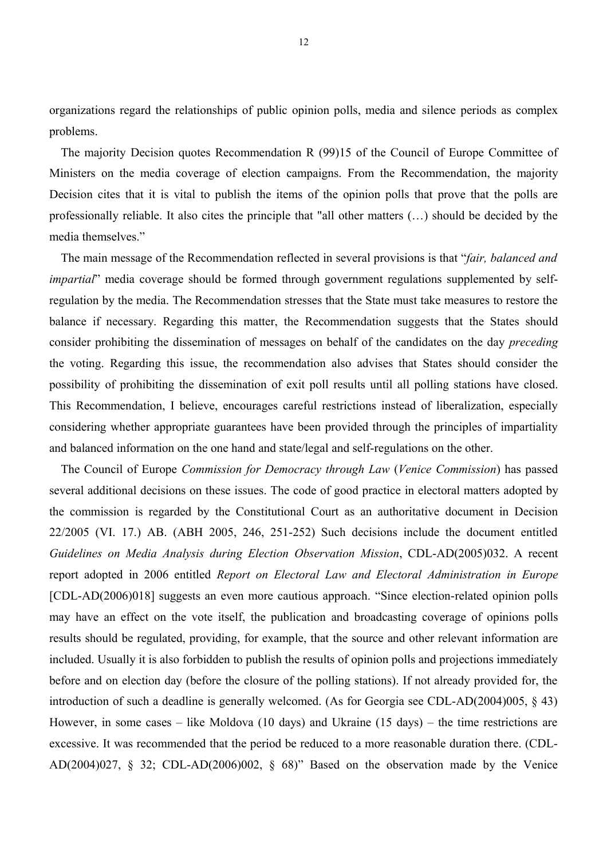organizations regard the relationships of public opinion polls, media and silence periods as complex problems.

The majority Decision quotes Recommendation R (99)15 of the Council of Europe Committee of Ministers on the media coverage of election campaigns. From the Recommendation, the majority Decision cites that it is vital to publish the items of the opinion polls that prove that the polls are professionally reliable. It also cites the principle that "all other matters (…) should be decided by the media themselves."

The main message of the Recommendation reflected in several provisions is that "*fair, balanced and impartial*" media coverage should be formed through government regulations supplemented by selfregulation by the media. The Recommendation stresses that the State must take measures to restore the balance if necessary. Regarding this matter, the Recommendation suggests that the States should consider prohibiting the dissemination of messages on behalf of the candidates on the day *preceding* the voting. Regarding this issue, the recommendation also advises that States should consider the possibility of prohibiting the dissemination of exit poll results until all polling stations have closed. This Recommendation, I believe, encourages careful restrictions instead of liberalization, especially considering whether appropriate guarantees have been provided through the principles of impartiality and balanced information on the one hand and state/legal and self-regulations on the other.

The Council of Europe *Commission for Democracy through Law* (*Venice Commission*) has passed several additional decisions on these issues. The code of good practice in electoral matters adopted by the commission is regarded by the Constitutional Court as an authoritative document in Decision 22/2005 (VI. 17.) AB. (ABH 2005, 246, 251-252) Such decisions include the document entitled *Guidelines on Media Analysis during Election Observation Mission*, CDL-AD(2005)032. A recent report adopted in 2006 entitled *Report on Electoral Law and Electoral Administration in Europe* [CDL-AD(2006)018] suggests an even more cautious approach. "Since election-related opinion polls may have an effect on the vote itself, the publication and broadcasting coverage of opinions polls results should be regulated, providing, for example, that the source and other relevant information are included. Usually it is also forbidden to publish the results of opinion polls and projections immediately before and on election day (before the closure of the polling stations). If not already provided for, the introduction of such a deadline is generally welcomed. (As for Georgia see CDL-AD(2004)005, § 43) However, in some cases – like Moldova (10 days) and Ukraine (15 days) – the time restrictions are excessive. It was recommended that the period be reduced to a more reasonable duration there. (CDL-AD(2004)027, § 32; CDL-AD(2006)002, § 68)" Based on the observation made by the Venice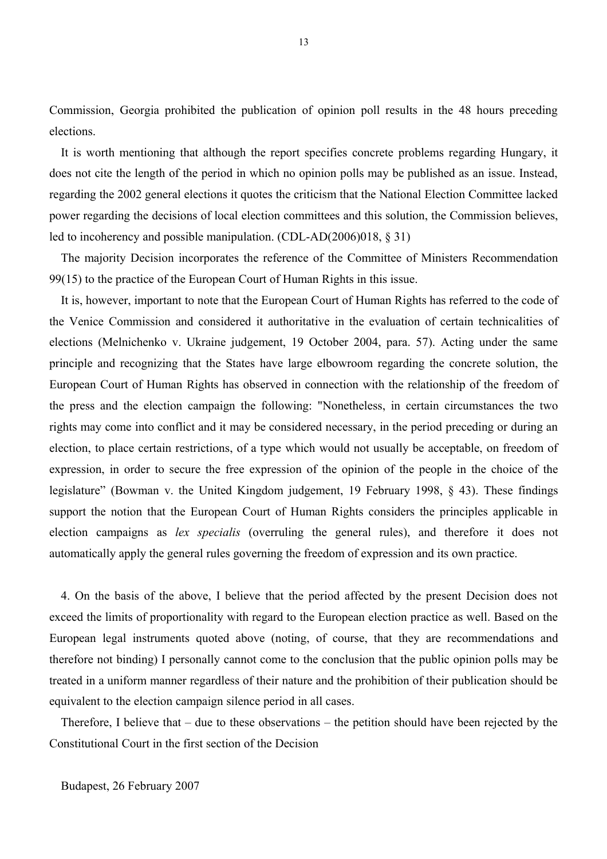Commission, Georgia prohibited the publication of opinion poll results in the 48 hours preceding elections.

It is worth mentioning that although the report specifies concrete problems regarding Hungary, it does not cite the length of the period in which no opinion polls may be published as an issue. Instead, regarding the 2002 general elections it quotes the criticism that the National Election Committee lacked power regarding the decisions of local election committees and this solution, the Commission believes, led to incoherency and possible manipulation. (CDL-AD(2006)018, § 31)

The majority Decision incorporates the reference of the Committee of Ministers Recommendation 99(15) to the practice of the European Court of Human Rights in this issue.

It is, however, important to note that the European Court of Human Rights has referred to the code of the Venice Commission and considered it authoritative in the evaluation of certain technicalities of elections (Melnichenko v. Ukraine judgement, 19 October 2004, para. 57). Acting under the same principle and recognizing that the States have large elbowroom regarding the concrete solution, the European Court of Human Rights has observed in connection with the relationship of the freedom of the press and the election campaign the following: "Nonetheless, in certain circumstances the two rights may come into conflict and it may be considered necessary, in the period preceding or during an election, to place certain restrictions, of a type which would not usually be acceptable, on freedom of expression, in order to secure the free expression of the opinion of the people in the choice of the legislature" (Bowman v. the United Kingdom judgement, 19 February 1998, § 43). These findings support the notion that the European Court of Human Rights considers the principles applicable in election campaigns as *lex specialis* (overruling the general rules), and therefore it does not automatically apply the general rules governing the freedom of expression and its own practice.

4. On the basis of the above, I believe that the period affected by the present Decision does not exceed the limits of proportionality with regard to the European election practice as well. Based on the European legal instruments quoted above (noting, of course, that they are recommendations and therefore not binding) I personally cannot come to the conclusion that the public opinion polls may be treated in a uniform manner regardless of their nature and the prohibition of their publication should be equivalent to the election campaign silence period in all cases.

Therefore, I believe that – due to these observations – the petition should have been rejected by the Constitutional Court in the first section of the Decision

Budapest, 26 February 2007